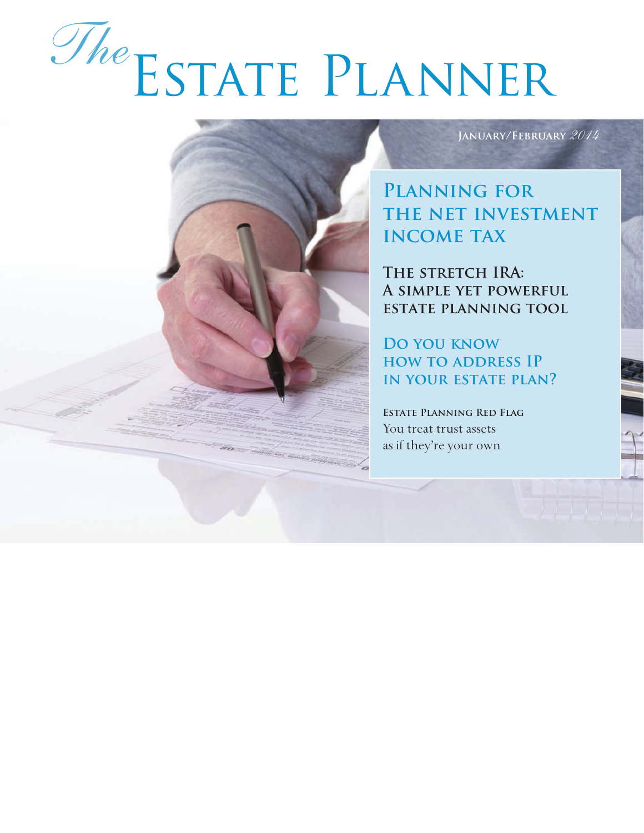# Estate Planner *The*

**January/February** *2014*

**Planning for the net investment income tax**

THE STRETCH IRA: **A simple yet powerful estate planning tool**

**Do you know how to address IP in your estate plan?**

**Estate Planning Red Flag** You treat trust assets as if they're your own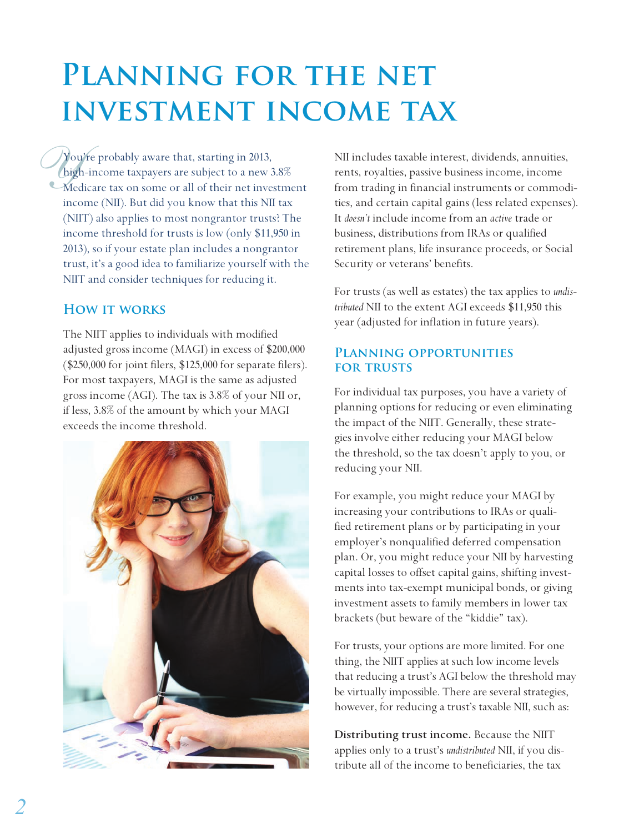## PLANNING FOR THE NET **investment income tax**

*Y* ou<br>*high*<br>*Med*<br>ince You're probably aware that, starting in 2013, high-income taxpayers are subject to a new 3.8% Medicare tax on some or all of their net investment income (NII). But did you know that this NII tax (NIIT) also applies to most nongrantor trusts? The income threshold for trusts is low (only \$11,950 in 2013), so if your estate plan includes a nongrantor trust, it's a good idea to familiarize yourself with the NIIT and consider techniques for reducing it.

#### **How it works**

The NIIT applies to individuals with modified adjusted gross income (MAGI) in excess of \$200,000 (\$250,000 for joint filers, \$125,000 for separate filers). For most taxpayers, MAGI is the same as adjusted gross income (AGI). The tax is 3.8% of your NII or, if less, 3.8% of the amount by which your MAGI exceeds the income threshold.



NII includes taxable interest, dividends, annuities, rents, royalties, passive business income, income from trading in financial instruments or commodities, and certain capital gains (less related expenses). It *doesn't* include income from an *active* trade or business, distributions from IRAs or qualified retirement plans, life insurance proceeds, or Social Security or veterans' benefits.

For trusts (as well as estates) the tax applies to *undistributed* NII to the extent AGI exceeds \$11,950 this year (adjusted for inflation in future years).

#### **Planning opportunities for trusts**

For individual tax purposes, you have a variety of planning options for reducing or even eliminating the impact of the NIIT. Generally, these strategies involve either reducing your MAGI below the threshold, so the tax doesn't apply to you, or reducing your NII.

For example, you might reduce your MAGI by increasing your contributions to IRAs or qualified retirement plans or by participating in your employer's nonqualified deferred compensation plan. Or, you might reduce your NII by harvesting capital losses to offset capital gains, shifting investments into tax-exempt municipal bonds, or giving investment assets to family members in lower tax brackets (but beware of the "kiddie" tax).

For trusts, your options are more limited. For one thing, the NIIT applies at such low income levels that reducing a trust's AGI below the threshold may be virtually impossible. There are several strategies, however, for reducing a trust's taxable NII, such as:

**Distributing trust income.** Because the NIIT applies only to a trust's *undistributed* NII, if you distribute all of the income to beneficiaries, the tax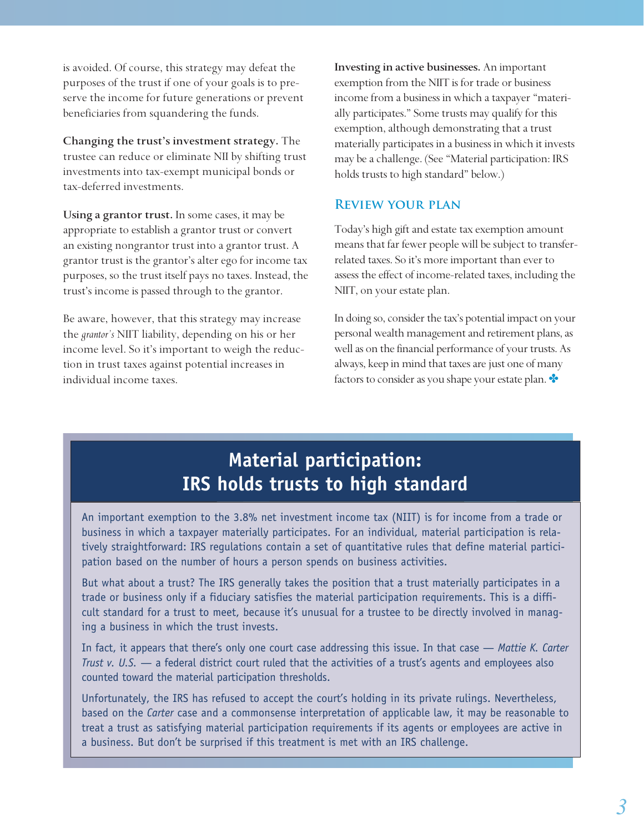is avoided. Of course, this strategy may defeat the purposes of the trust if one of your goals is to preserve the income for future generations or prevent beneficiaries from squandering the funds.

**Changing the trust's investment strategy.** The trustee can reduce or eliminate NII by shifting trust investments into tax-exempt municipal bonds or tax-deferred investments.

**Using a grantor trust.** In some cases, it may be appropriate to establish a grantor trust or convert an existing nongrantor trust into a grantor trust. A grantor trust is the grantor's alter ego for income tax purposes, so the trust itself pays no taxes. Instead, the trust's income is passed through to the grantor.

Be aware, however, that this strategy may increase the *grantor's* NIIT liability, depending on his or her income level. So it's important to weigh the reduction in trust taxes against potential increases in individual income taxes.

**Investing in active businesses.** An important exemption from the NIIT is for trade or business income from a business in which a taxpayer "materially participates." Some trusts may qualify for this exemption, although demonstrating that a trust materially participates in a business in which it invests may be a challenge. (See "Material participation: IRS holds trusts to high standard" below.)

#### **Review your plan**

Today's high gift and estate tax exemption amount means that far fewer people will be subject to transferrelated taxes. So it's more important than ever to assess the effect of income-related taxes, including the NIIT, on your estate plan.

In doing so, consider the tax's potential impact on your personal wealth management and retirement plans, as well as on the financial performance of your trusts. As always, keep in mind that taxes are just one of many factors to consider as you shape your estate plan.  $\bullet$ 

## **Material participation: IRS holds trusts to high standard**

An important exemption to the 3.8% net investment income tax (NIIT) is for income from a trade or business in which a taxpayer materially participates. For an individual, material participation is relatively straightforward: IRS regulations contain a set of quantitative rules that define material participation based on the number of hours a person spends on business activities.

But what about a trust? The IRS generally takes the position that a trust materially participates in a trade or business only if a fiduciary satisfies the material participation requirements. This is a difficult standard for a trust to meet, because it's unusual for a trustee to be directly involved in managing a business in which the trust invests.

In fact, it appears that there's only one court case addressing this issue. In that case — *Mattie K. Carter Trust v. U.S.* — a federal district court ruled that the activities of a trust's agents and employees also counted toward the material participation thresholds.

Unfortunately, the IRS has refused to accept the court's holding in its private rulings. Nevertheless, based on the *Carter* case and a commonsense interpretation of applicable law, it may be reasonable to treat a trust as satisfying material participation requirements if its agents or employees are active in a business. But don't be surprised if this treatment is met with an IRS challenge.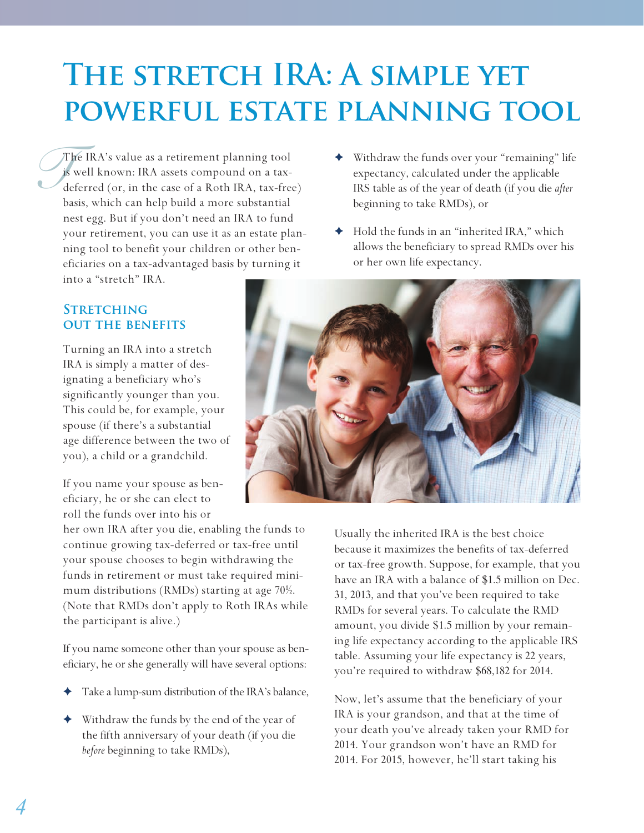# THE STRETCH IRA: A SIMPLE YET **powerful estate planning tool**

 $\int_{\text{de}}^{\text{TE}}$ The IRA's value as a retirement planning tool is well known: IRA assets compound on a taxdeferred (or, in the case of a Roth IRA, tax-free) basis, which can help build a more substantial nest egg. But if you don't need an IRA to fund your retirement, you can use it as an estate planning tool to benefit your children or other beneficiaries on a tax-advantaged basis by turning it into a "stretch" IRA.

- Withdraw the funds over your "remaining" life expectancy, calculated under the applicable IRS table as of the year of death (if you die *after* beginning to take RMDs), or
- ✦ Hold the funds in an "inherited IRA," which allows the beneficiary to spread RMDs over his or her own life expectancy.

#### **Stretching out the benefits**

Turning an IRA into a stretch IRA is simply a matter of designating a beneficiary who's significantly younger than you. This could be, for example, your spouse (if there's a substantial age difference between the two of you), a child or a grandchild.

If you name your spouse as beneficiary, he or she can elect to roll the funds over into his or

her own IRA after you die, enabling the funds to continue growing tax-deferred or tax-free until your spouse chooses to begin withdrawing the funds in retirement or must take required minimum distributions (RMDs) starting at age 70½. (Note that RMDs don't apply to Roth IRAs while the participant is alive.)

If you name someone other than your spouse as beneficiary, he or she generally will have several options:

- Take a lump-sum distribution of the IRA's balance,
- Withdraw the funds by the end of the year of the fifth anniversary of your death (if you die *before* beginning to take RMDs),



Usually the inherited IRA is the best choice because it maximizes the benefits of tax-deferred or tax-free growth. Suppose, for example, that you have an IRA with a balance of \$1.5 million on Dec. 31, 2013, and that you've been required to take RMDs for several years. To calculate the RMD amount, you divide \$1.5 million by your remaining life expectancy according to the applicable IRS table. Assuming your life expectancy is 22 years, you're required to withdraw \$68,182 for 2014.

Now, let's assume that the beneficiary of your IRA is your grandson, and that at the time of your death you've already taken your RMD for 2014. Your grandson won't have an RMD for 2014. For 2015, however, he'll start taking his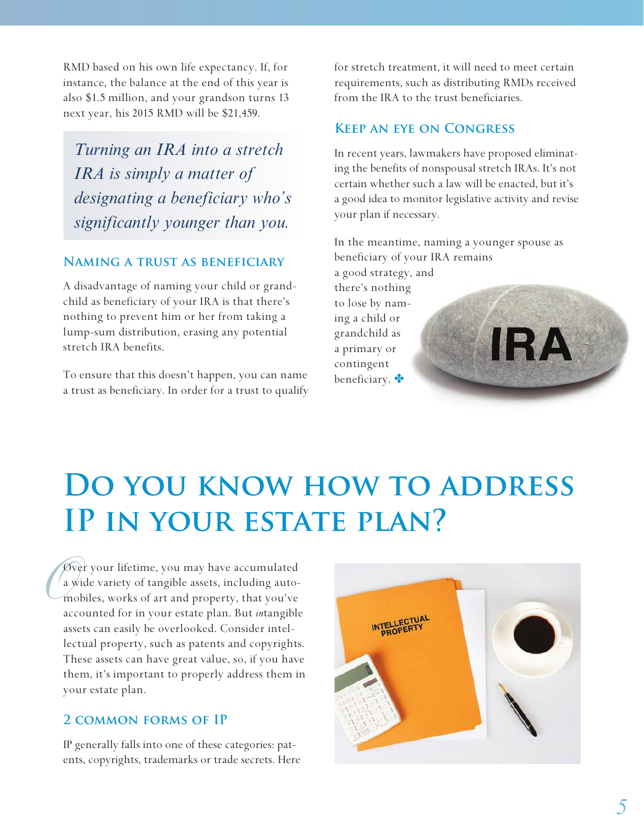RMD based on his own life expectancy. If, for instance, the balance at the end of this year is also \$1.5 million, and your grandson turns 13 next year, his 2015 RMD will be \$21,459.

*Turning an IRA into a stretch IRA is simply a matter of designating a beneficiary who's significantly younger than you.*

#### **Naming a trust as beneficiary**

A disadvantage of naming your child or grandchild as beneficiary of your IRA is that there's nothing to prevent him or her from taking a lump-sum distribution, erasing any potential stretch IRA benefits.

To ensure that this doesn't happen, you can name a trust as beneficiary. In order for a trust to qualify for stretch treatment, it will need to meet certain requirements, such as distributing RMDs received from the IRA to the trust beneficiaries.

#### **Keep an eye on Congress**

In recent years, lawmakers have proposed eliminating the benefits of nonspousal stretch IRAs. It's not certain whether such a law will be enacted, but it's a good idea to monitor legislative activity and revise your plan if necessary.

In the meantime, naming a younger spouse as beneficiary of your IRA remains a good strategy, and there's nothing to lose by naming a child or grandchild as **IRA** 

a primary or contingent beneficiary.

## **Do you know how to address IP in your estate plan?**

 $\begin{array}{c}\n\sqrt{2} \\
\frac{3}{2} \\
\frac{3}{2} \\
\frac{3}{2} \\
\frac{3}{2}\n\end{array}$ Over your lifetime, you may have accumulated a wide variety of tangible assets, including automobiles, works of art and property, that you've accounted for in your estate plan. But *in*tangible assets can easily be overlooked. Consider intellectual property, such as patents and copyrights. These assets can have great value, so, if you have them, it's important to properly address them in your estate plan.

#### **2 common forms of IP**

IP generally falls into one of these categories: patents, copyrights, trademarks or trade secrets. Here

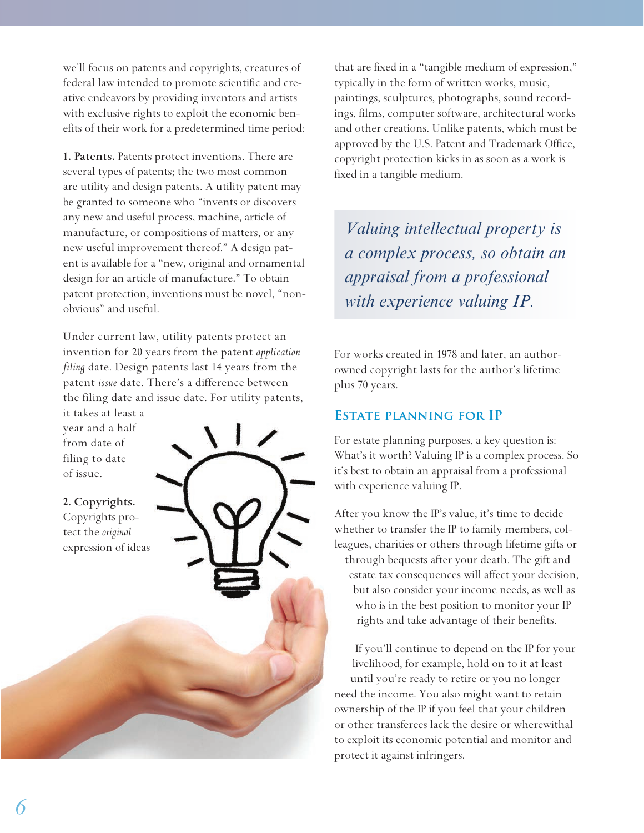we'll focus on patents and copyrights, creatures of federal law intended to promote scientific and creative endeavors by providing inventors and artists with exclusive rights to exploit the economic benefits of their work for a predetermined time period:

**1. Patents.** Patents protect inventions. There are several types of patents; the two most common are utility and design patents. A utility patent may be granted to someone who "invents or discovers any new and useful process, machine, article of manufacture, or compositions of matters, or any new useful improvement thereof." A design patent is available for a "new, original and ornamental design for an article of manufacture." To obtain patent protection, inventions must be novel, "nonobvious" and useful.

Under current law, utility patents protect an invention for 20 years from the patent *application filing* date. Design patents last 14 years from the patent *issue* date. There's a difference between the filing date and issue date. For utility patents,

it takes at least a year and a half from date of filing to date of issue.

**2. Copyrights.**  Copyrights protect the *original* expression of ideas



that are fixed in a "tangible medium of expression," typically in the form of written works, music, paintings, sculptures, photographs, sound recordings, films, computer software, architectural works and other creations. Unlike patents, which must be approved by the U.S. Patent and Trademark Office, copyright protection kicks in as soon as a work is fixed in a tangible medium.

*Valuing intellectual property is a complex process, so obtain an appraisal from a professional with experience valuing IP.*

For works created in 1978 and later, an authorowned copyright lasts for the author's lifetime plus 70 years.

#### **Estate planning for IP**

For estate planning purposes, a key question is: What's it worth? Valuing IP is a complex process. So it's best to obtain an appraisal from a professional with experience valuing IP.

After you know the IP's value, it's time to decide whether to transfer the IP to family members, colleagues, charities or others through lifetime gifts or through bequests after your death. The gift and estate tax consequences will affect your decision, but also consider your income needs, as well as who is in the best position to monitor your IP rights and take advantage of their benefits.

If you'll continue to depend on the IP for your livelihood, for example, hold on to it at least until you're ready to retire or you no longer need the income. You also might want to retain ownership of the IP if you feel that your children or other transferees lack the desire or wherewithal to exploit its economic potential and monitor and protect it against infringers.